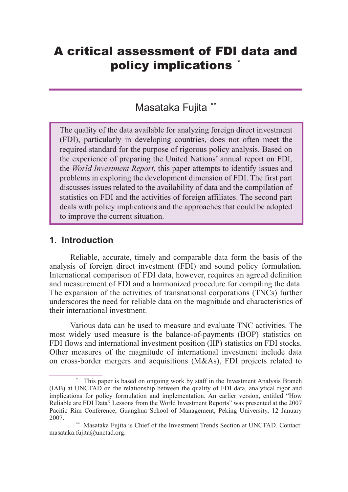# A critical assessment of FDI data and policy implications \*

# Masataka Fujita **\*\***

The quality of the data available for analyzing foreign direct investment (FDI), particularly in developing countries, does not often meet the required standard for the purpose of rigorous policy analysis. Based on the experience of preparing the United Nations' annual report on FDI, the *World Investment Report*, this paper attempts to identify issues and problems in exploring the development dimension of FDI. The first part discusses issues related to the availability of data and the compilation of statistics on FDI and the activities of foreign affiliates. The second part deals with policy implications and the approaches that could be adopted to improve the current situation.

#### **1. Introduction**

Reliable, accurate, timely and comparable data form the basis of the analysis of foreign direct investment (FDI) and sound policy formulation. International comparison of FDI data, however, requires an agreed definition and measurement of FDI and a harmonized procedure for compiling the data. The expansion of the activities of transnational corporations (TNCs) further underscores the need for reliable data on the magnitude and characteristics of their international investment.

Various data can be used to measure and evaluate TNC activities. The most widely used measure is the balance-of-payments (BOP) statistics on FDI flows and international investment position (IIP) statistics on FDI stocks. Other measures of the magnitude of international investment include data on cross-border mergers and acquisitions (M&As), FDI projects related to

This paper is based on ongoing work by staff in the Investment Analysis Branch (IAB) at UNCTAD on the relationship between the quality of FDI data, analytical rigor and implications for policy formulation and implementation. An earlier version, entitled "How Reliable are FDI Data? Lessons from the World Investment Reports" was presented at the 2007 Pacific Rim Conference, Guanghua School of Management, Peking University, 12 January 2007.

<sup>\*\*</sup> Masataka Fujita is Chief of the Investment Trends Section at UNCTAD. Contact: masataka.fujita@unctad.org.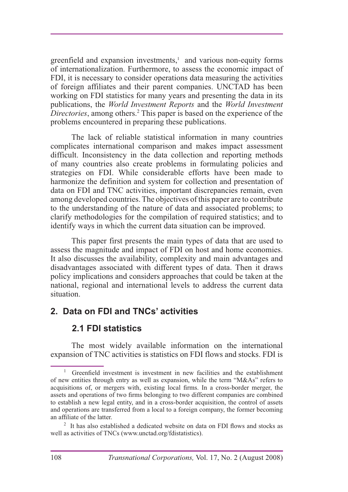greenfield and expansion investments,<sup>1</sup> and various non-equity forms of internationalization. Furthermore, to assess the economic impact of FDI, it is necessary to consider operations data measuring the activities of foreign affiliates and their parent companies. UNCTAD has been working on FDI statistics for many years and presenting the data in its publications, the *World Investment Reports* and the *World Investment Directories*, among others. 2 This paper is based on the experience of the problems encountered in preparing these publications.

The lack of reliable statistical information in many countries complicates international comparison and makes impact assessment difficult. Inconsistency in the data collection and reporting methods of many countries also create problems in formulating policies and strategies on FDI. While considerable efforts have been made to harmonize the definition and system for collection and presentation of data on FDI and TNC activities, important discrepancies remain, even among developed countries. The objectives of this paper are to contribute to the understanding of the nature of data and associated problems; to clarify methodologies for the compilation of required statistics; and to identify ways in which the current data situation can be improved.

This paper first presents the main types of data that are used to assess the magnitude and impact of FDI on host and home economies. It also discusses the availability, complexity and main advantages and disadvantages associated with different types of data. Then it draws policy implications and considers approaches that could be taken at the national, regional and international levels to address the current data situation.

### **2. Data on FDI and TNCs' activities**

### **2.1 FDI statistics**

The most widely available information on the international expansion of TNC activities is statistics on FDI flows and stocks. FDI is

 $\mathbf{1}$ Greenfield investment is investment in new facilities and the establishment of new entities through entry as well as expansion, while the term "M&As" refers to acquisitions of, or mergers with, existing local firms. In a cross-border merger, the assets and operations of two firms belonging to two different companies are combined to establish a new legal entity, and in a cross-border acquisition, the control of assets and operations are transferred from a local to a foreign company, the former becoming an affiliate of the latter.

 $2$  It has also established a dedicated website on data on FDI flows and stocks as well as activities of TNCs (www.unctad.org/fdistatistics).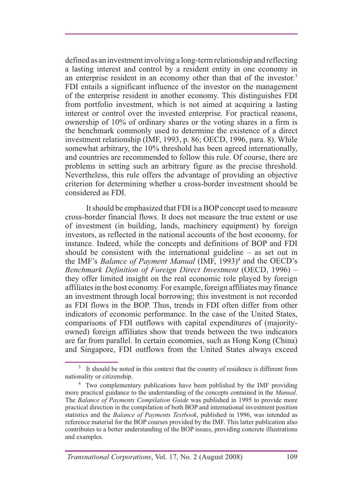defined as an investment involving a long-term relationship and reflecting a lasting interest and control by a resident entity in one economy in an enterprise resident in an economy other than that of the investor.<sup>3</sup> FDI entails a significant influence of the investor on the management of the enterprise resident in another economy. This distinguishes FDI from portfolio investment, which is not aimed at acquiring a lasting interest or control over the invested enterprise. For practical reasons, ownership of  $10\%$  of ordinary shares or the voting shares in a firm is the benchmark commonly used to determine the existence of a direct investment relationship (IMF, 1993, p. 86; OECD, 1996, para. 8). While somewhat arbitrary, the 10% threshold has been agreed internationally, and countries are recommended to follow this rule. Of course, there are problems in setting such an arbitrary figure as the precise threshold. Nevertheless, this rule offers the advantage of providing an objective criterion for determining whether a cross-border investment should be considered as FDI.

It should be emphasized that FDI is a BOP concept used to measure cross-border financial flows. It does not measure the true extent or use of investment (in building, lands, machinery equipment) by foreign investors, as reflected in the national accounts of the host economy, for instance. Indeed, while the concepts and definitions of BOP and FDI should be consistent with the international guideline – as set out in the IMF's *Balance of Payment Manual* (IMF, 1993)<sup>4</sup> and the OECD's *Benchmark Definition of Foreign Direct Investment* (OECD, 1996) – they offer limited insight on the real economic role played by foreign affiliates in the host economy. For example, foreign affiliates may finance an investment through local borrowing; this investment is not recorded as FDI flows in the BOP. Thus, trends in FDI often differ from other indicators of economic performance. In the case of the United States, comparisons of FDI outflows with capital expenditures of (majorityowned) foreign affiliates show that trends between the two indicators are far from parallel. In certain economies, such as Hong Kong (China) and Singapore, FDI outflows from the United States always exceed

<sup>&</sup>lt;sup>3</sup> It should be noted in this context that the country of residence is different from nationality or citizenship.

<sup>&</sup>lt;sup>4</sup> Two complementary publications have been published by the IMF providing more practical guidance to the understanding of the concepts contained in the *Manual*. The *Balance of Payments Compilation Guide* was published in 1995 to provide more practical direction in the compilation of both BOP and international investment position statistics and the *Balance of Payments Textbook*, published in 1996, was intended as reference material for the BOP courses provided by the IMF. This latter publication also contributes to a better understanding of the BOP issues, providing concrete illustrations and examples.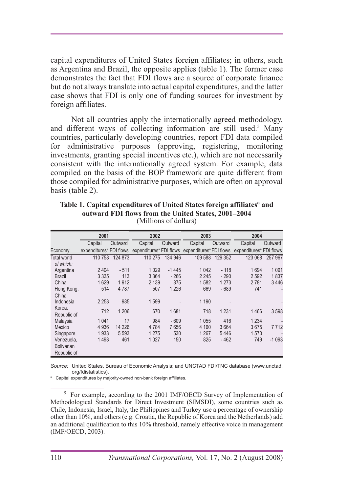capital expenditures of United States foreign affiliates; in others, such as Argentina and Brazil, the opposite applies (table 1). The former case demonstrates the fact that FDI flows are a source of corporate finance but do not always translate into actual capital expenditures, and the latter case shows that FDI is only one of funding sources for investment by foreign affiliates.

Not all countries apply the internationally agreed methodology, and different ways of collecting information are still used. Many countries, particularly developing countries, report FDI data compiled for administrative purposes (approving, registering, monitoring investments, granting special incentives etc.), which are not necessarily consistent with the internationally agreed system. For example, data compiled on the basis of the BOP framework are quite different from those compiled for administrative purposes, which are often on approval basis (table 2).

|                   | 2001                                |         | 2002    |         | 2003                                                                    |         | 2004                                |         |
|-------------------|-------------------------------------|---------|---------|---------|-------------------------------------------------------------------------|---------|-------------------------------------|---------|
|                   | Capital                             | Outward | Capital | Outward | Capital                                                                 | Outward | Capital                             | Outward |
| Economy           | expenditures <sup>ª</sup> FDI flows |         |         |         | expenditures <sup>a</sup> FDI flows expenditures <sup>a</sup> FDI flows |         | expenditures <sup>a</sup> FDI flows |         |
| Total world       | 110 758                             | 124 873 | 110 275 | 134 946 | 109 588                                                                 | 129 352 | 123 068                             | 257 967 |
| of which:         |                                     |         |         |         |                                                                         |         |                                     |         |
| Argentina         | 2 4 0 4                             | $-511$  | 1029    | $-1445$ | 1 0 4 2                                                                 | $-118$  | 1694                                | 1 0 9 1 |
| <b>Brazil</b>     | 3 3 3 5                             | 113     | 3 3 6 4 | $-266$  | 2 2 4 5                                                                 | $-290$  | 2 5 9 2                             | 1837    |
| China             | 1629                                | 1912    | 2 1 3 9 | 875     | 1582                                                                    | 1 2 7 3 | 2781                                | 3446    |
| Hong Kong,        | 514                                 | 4 7 8 7 | 507     | 1 2 2 6 | 669                                                                     | $-689$  | 741                                 |         |
| China             |                                     |         |         |         |                                                                         |         |                                     |         |
| Indonesia         | 2 2 5 3                             | 985     | 1599    |         | 1 1 9 0                                                                 |         |                                     |         |
| Korea,            | 712                                 | 1 206   | 670     | 1681    | 718                                                                     | 1 2 3 1 | 1466                                | 3598    |
| Republic of       |                                     |         |         |         |                                                                         |         |                                     |         |
| Malaysia          | 1 0 4 1                             | 17      | 984     | $-609$  | 1 0 5 5                                                                 | 416     | 1 2 3 4                             |         |
| Mexico            | 4 9 3 6                             | 14 2 26 | 4 7 8 4 | 7656    | 4 160                                                                   | 3664    | 3675                                | 7712    |
| Singapore         | 1933                                | 5 5 9 3 | 1 275   | 530     | 1 267                                                                   | 5446    | 1570                                |         |
| Venezuela,        | 1493                                | 461     | 1 0 2 7 | 150     | 825                                                                     | $-462$  | 749                                 | $-1093$ |
| <b>Bolivarian</b> |                                     |         |         |         |                                                                         |         |                                     |         |
| Republic of       |                                     |         |         |         |                                                                         |         |                                     |         |

Table 1. Capital expenditures of United States foreign affiliates<sup>a</sup> and **outward FDI flows from the United States, 2001–2004** (Millions of dollars)

*Source:* United States, Bureau of Economic Analysis; and UNCTAD FDI/TNC database (www.unctad. org/fdistatistics).

a Capital expenditures by majority-owned non-bank foreign affiliates.

 $5$  For example, according to the 2001 IMF/OECD Survey of Implementation of Methodological Standards for Direct Investment (SIMSDI), some countries such as Chile, Indonesia, Israel, Italy, the Philippines and Turkey use a percentage of ownership other than  $10\%$ , and others (e.g. Croatia, the Republic of Korea and the Netherlands) add an additional qualification to this 10% threshold, namely effective voice in management (IMF/OECD, 2003).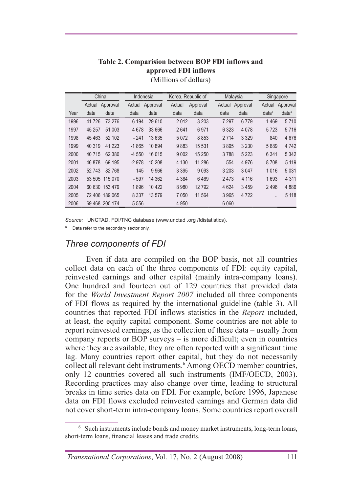#### **Table 2. Comparision between BOP FDI inflows and approved FDI inflows**

|      | China           | Korea, Republic of<br>Indonesia |                    | Malaysia                        | Singapore                       |
|------|-----------------|---------------------------------|--------------------|---------------------------------|---------------------------------|
|      | Actual Approval | Approval<br>Actual              | Actual<br>Approval | Approval<br>Actual              | Approval<br>Actual              |
| Year | data            | data                            | data               | data                            | data <sup>a</sup>               |
|      | data            | data                            | data               | data                            | data <sup>a</sup>               |
| 1996 | 41726           | 6 1 9 4                         | 3 2 0 3            | 7 2 9 7                         | 1469                            |
|      | 73 276          | 29 610                          | 2012               | 6779                            | 5710                            |
| 1997 | 51 003          | 4678                            | 6971               | 4 0 7 8                         | 5716                            |
|      | 45 257          | 33 666                          | 2641               | 6 3 2 3                         | 5723                            |
| 1998 | 45 4 63         | 13 635                          | 5 0 7 2            | 3 3 2 9                         | 4676                            |
|      | 52 102          | $-241$                          | 8853               | 2 7 1 4                         | 840                             |
| 1999 | 40 319          | $-1865$                         | 9883               | 3 2 3 0                         | 4 7 4 2                         |
|      | 41 2 23         | 10894                           | 15 5 31            | 3895                            | 5689                            |
| 2000 | 40715           | 16 0 15                         | 15 250             | 3788                            | 5 3 4 2                         |
|      | 62 380          | $-4550$                         | 9 0 0 2            | 5 2 2 3                         | 6 3 4 1                         |
| 2001 | 46878           | $-2978$                         | 4 1 3 0            | 4976                            | 5 1 1 9                         |
|      | 69 195          | 15 208                          | 11 286             | 554                             | 8708                            |
| 2002 | 52743           | 145                             | 3 3 9 5            | 3 0 4 7                         | 5 0 3 1                         |
|      | 82768           | 9 9 6 6                         | 9093               | 3 2 0 3                         | 1 0 1 6                         |
| 2003 | 53 505 115 070  | $-597$<br>14 362                | 4 3 8 4<br>6469    | 4 1 1 6<br>2473                 | 1693<br>4 3 1 1                 |
| 2004 | 60 630 153 479  | 1896<br>10 4 22                 | 12792<br>8980      | 4 6 24<br>3459                  | 4886<br>2496                    |
| 2005 | 72 406 189 065  | 8 3 3 7<br>13 579               | 7 0 5 0<br>11 564  | 4 7 2 2<br>3 9 6 5              | 5 1 1 8<br>$\ddot{\phantom{a}}$ |
| 2006 | 69 468 200 174  | 5 5 5 6                         | 4 9 5 0<br>        | 6 0 6 0<br>$\ddot{\phantom{a}}$ | $\cdots$<br>                    |

(Millions of dollars)

*Source:* UNCTAD, FDI/TNC database (www.unctad .org /fdistatistics).

<sup>a</sup> Data refer to the secondary sector only.

#### *Three components of FDI*

Even if data are compiled on the BOP basis, not all countries collect data on each of the three components of FDI: equity capital, reinvested earnings and other capital (mainly intra-company loans). One hundred and fourteen out of 129 countries that provided data for the *World Investment Report 2007* included all three components of FDI flows as required by the international guideline (table 3). All countries that reported FDI inflows statistics in the *Report* included, at least, the equity capital component. Some countries are not able to report reinvested earnings, as the collection of these data – usually from company reports or BOP surveys – is more difficult; even in countries where they are available, they are often reported with a significant time lag. Many countries report other capital, but they do not necessarily collect all relevant debt instruments.<sup>6</sup> Among OECD member countries, only 12 countries covered all such instruments (IMF/OECD, 2003). Recording practices may also change over time, leading to structural breaks in time series data on FDI. For example, before 1996, Japanese data on FDI flows excluded reinvested earnings and German data did not cover short-term intra-company loans. Some countries report overall

 $6$  Such instruments include bonds and money market instruments, long-term loans, short-term loans, financial leases and trade credits.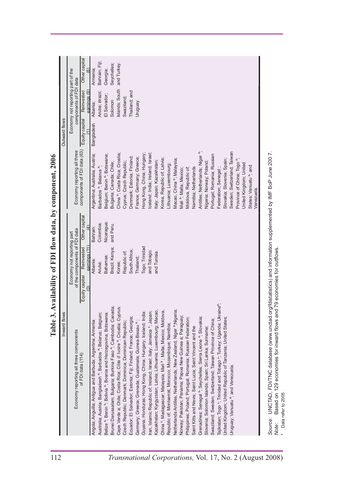| China <sup>a</sup> ; Costa Rica; Croatia;<br>Hong Kong, China; Hungary;<br>Belgium; Benin <sup>a</sup> ; Botswana;<br>celand; India; Ireland; Israel<br>Argentina; Australia; Austria;<br>Denmark; Estonia; Finland;<br>France; Germany; Greece;<br>Korea, Republic of; Latvia;<br>Italy; Japan; Kazakhstan;<br>Cyprus; Czech Republic;<br>Bulgaria; Canada; Chile;<br>Barbados <sup>a</sup> ; Belarus <sup>a</sup><br>Other capital<br>Nicaragua;<br>Colombia;<br>and Peru.<br>Bahrain;<br>of the components of FDI data<br>Economy not reporting part<br>eamings (11)<br>Togo; Trinidad<br>Reinvested<br>Brazil; Kenya;<br>South Africa;<br>and Tobago;<br>Republic of;<br>and Tunisia.<br>Bahamas;<br>Thailand;<br>Albania;<br>Aruba;<br>Korea;<br>Equity capital<br>$\widehat{0}$<br>Brunei Darussalam; Bulgaria; Burkina Faso ª; Cambodia; Canada;<br>Cape Verde a; Chile; Costa Rica; Côte d' Ivoire <sup>a</sup> ; Croatia; Cyprus;<br>Kazakhstan; Kyrgyzstan; Latvia; Lithuania; Luxembourg; Macao,<br>ran, Islamic Republic of; Ireland; Israel; Italy; Jamaica a; Japan;<br>China <sup>a</sup> ; Madagascar; Malaysia; Mali <sup>a</sup> ; Malta; Mexico; Moldova,<br>Guyana; Honduras; Hong Kong, China; Hungary; Iceland; India;<br>Belize <sup>a</sup> ; Benin <sup>a</sup> ; Bolivia <sup>a</sup> ; Bosnia and Herzegovina; Botswana;<br>Inward flows<br>Australia; Austria; Bangladesh <sup>a</sup> ; Barbados <sup>a</sup> ; Belarus; Belgium;<br>Ecuador; El Salvador; Estonia; Fiji; Finland; France; Georgia;<br>Angola; Anguilla; Antigua and Barbuda; Argentina; Armenia;<br>Germany; Greece; Grenada; Guatemala; Guinea-Bissau <sup>a</sup> ;<br>Czech Republic; Denmark; Dominica; Dominican Republic;<br>Republic of; Montserrat; Morocco; Mozambique; Namibia;<br>Economy reporting all three components<br>of FDI data (114) | components of FDI data (63)<br>Economy reporting all three | Economy not reporting part of the<br>components of FDI data<br>Islands; South<br>Reinvested<br>earnings (9)<br>Thailand; and<br>Aruba; Brazil;<br>El Salvador;<br>Swaziland;<br>Solomon<br>Uruguay.<br>Albania;<br>Equity capital<br>Bangladesh | Other capital<br>Bahrain; Fiji;<br>and Turkey.<br>Seychelles;<br>Armenia;<br>Georgia; |
|--------------------------------------------------------------------------------------------------------------------------------------------------------------------------------------------------------------------------------------------------------------------------------------------------------------------------------------------------------------------------------------------------------------------------------------------------------------------------------------------------------------------------------------------------------------------------------------------------------------------------------------------------------------------------------------------------------------------------------------------------------------------------------------------------------------------------------------------------------------------------------------------------------------------------------------------------------------------------------------------------------------------------------------------------------------------------------------------------------------------------------------------------------------------------------------------------------------------------------------------------------------------------------------------------------------------------------------------------------------------------------------------------------------------------------------------------------------------------------------------------------------------------------------------------------------------------------------------------------------------------------------------------------------------------------------------------------------------------------------------------------------------------------------------------------------------------------------------------------|------------------------------------------------------------|-------------------------------------------------------------------------------------------------------------------------------------------------------------------------------------------------------------------------------------------------|---------------------------------------------------------------------------------------|
|                                                                                                                                                                                                                                                                                                                                                                                                                                                                                                                                                                                                                                                                                                                                                                                                                                                                                                                                                                                                                                                                                                                                                                                                                                                                                                                                                                                                                                                                                                                                                                                                                                                                                                                                                                                                                                                        |                                                            |                                                                                                                                                                                                                                                 |                                                                                       |
|                                                                                                                                                                                                                                                                                                                                                                                                                                                                                                                                                                                                                                                                                                                                                                                                                                                                                                                                                                                                                                                                                                                                                                                                                                                                                                                                                                                                                                                                                                                                                                                                                                                                                                                                                                                                                                                        |                                                            |                                                                                                                                                                                                                                                 |                                                                                       |
|                                                                                                                                                                                                                                                                                                                                                                                                                                                                                                                                                                                                                                                                                                                                                                                                                                                                                                                                                                                                                                                                                                                                                                                                                                                                                                                                                                                                                                                                                                                                                                                                                                                                                                                                                                                                                                                        |                                                            |                                                                                                                                                                                                                                                 |                                                                                       |
|                                                                                                                                                                                                                                                                                                                                                                                                                                                                                                                                                                                                                                                                                                                                                                                                                                                                                                                                                                                                                                                                                                                                                                                                                                                                                                                                                                                                                                                                                                                                                                                                                                                                                                                                                                                                                                                        |                                                            |                                                                                                                                                                                                                                                 |                                                                                       |
|                                                                                                                                                                                                                                                                                                                                                                                                                                                                                                                                                                                                                                                                                                                                                                                                                                                                                                                                                                                                                                                                                                                                                                                                                                                                                                                                                                                                                                                                                                                                                                                                                                                                                                                                                                                                                                                        |                                                            |                                                                                                                                                                                                                                                 |                                                                                       |
|                                                                                                                                                                                                                                                                                                                                                                                                                                                                                                                                                                                                                                                                                                                                                                                                                                                                                                                                                                                                                                                                                                                                                                                                                                                                                                                                                                                                                                                                                                                                                                                                                                                                                                                                                                                                                                                        |                                                            |                                                                                                                                                                                                                                                 |                                                                                       |
|                                                                                                                                                                                                                                                                                                                                                                                                                                                                                                                                                                                                                                                                                                                                                                                                                                                                                                                                                                                                                                                                                                                                                                                                                                                                                                                                                                                                                                                                                                                                                                                                                                                                                                                                                                                                                                                        |                                                            |                                                                                                                                                                                                                                                 |                                                                                       |
|                                                                                                                                                                                                                                                                                                                                                                                                                                                                                                                                                                                                                                                                                                                                                                                                                                                                                                                                                                                                                                                                                                                                                                                                                                                                                                                                                                                                                                                                                                                                                                                                                                                                                                                                                                                                                                                        |                                                            |                                                                                                                                                                                                                                                 |                                                                                       |
|                                                                                                                                                                                                                                                                                                                                                                                                                                                                                                                                                                                                                                                                                                                                                                                                                                                                                                                                                                                                                                                                                                                                                                                                                                                                                                                                                                                                                                                                                                                                                                                                                                                                                                                                                                                                                                                        |                                                            |                                                                                                                                                                                                                                                 |                                                                                       |
|                                                                                                                                                                                                                                                                                                                                                                                                                                                                                                                                                                                                                                                                                                                                                                                                                                                                                                                                                                                                                                                                                                                                                                                                                                                                                                                                                                                                                                                                                                                                                                                                                                                                                                                                                                                                                                                        |                                                            |                                                                                                                                                                                                                                                 |                                                                                       |
|                                                                                                                                                                                                                                                                                                                                                                                                                                                                                                                                                                                                                                                                                                                                                                                                                                                                                                                                                                                                                                                                                                                                                                                                                                                                                                                                                                                                                                                                                                                                                                                                                                                                                                                                                                                                                                                        |                                                            |                                                                                                                                                                                                                                                 |                                                                                       |
|                                                                                                                                                                                                                                                                                                                                                                                                                                                                                                                                                                                                                                                                                                                                                                                                                                                                                                                                                                                                                                                                                                                                                                                                                                                                                                                                                                                                                                                                                                                                                                                                                                                                                                                                                                                                                                                        |                                                            |                                                                                                                                                                                                                                                 |                                                                                       |
|                                                                                                                                                                                                                                                                                                                                                                                                                                                                                                                                                                                                                                                                                                                                                                                                                                                                                                                                                                                                                                                                                                                                                                                                                                                                                                                                                                                                                                                                                                                                                                                                                                                                                                                                                                                                                                                        |                                                            |                                                                                                                                                                                                                                                 |                                                                                       |
|                                                                                                                                                                                                                                                                                                                                                                                                                                                                                                                                                                                                                                                                                                                                                                                                                                                                                                                                                                                                                                                                                                                                                                                                                                                                                                                                                                                                                                                                                                                                                                                                                                                                                                                                                                                                                                                        |                                                            |                                                                                                                                                                                                                                                 |                                                                                       |
|                                                                                                                                                                                                                                                                                                                                                                                                                                                                                                                                                                                                                                                                                                                                                                                                                                                                                                                                                                                                                                                                                                                                                                                                                                                                                                                                                                                                                                                                                                                                                                                                                                                                                                                                                                                                                                                        | Lithuania; Luxembourg;                                     |                                                                                                                                                                                                                                                 |                                                                                       |
| Macao, China <sup>a</sup> ; Malaysia<br>Vetherlands Antilles; Netherlands; New Zealand; Niger <sup>a</sup> ; Nigeria;                                                                                                                                                                                                                                                                                                                                                                                                                                                                                                                                                                                                                                                                                                                                                                                                                                                                                                                                                                                                                                                                                                                                                                                                                                                                                                                                                                                                                                                                                                                                                                                                                                                                                                                                  |                                                            |                                                                                                                                                                                                                                                 |                                                                                       |
| Mali <sup>a</sup> ; Malta; Mexico;<br>Norway; Pakistan; Panama; Papua New Guinea a; Paraguay;                                                                                                                                                                                                                                                                                                                                                                                                                                                                                                                                                                                                                                                                                                                                                                                                                                                                                                                                                                                                                                                                                                                                                                                                                                                                                                                                                                                                                                                                                                                                                                                                                                                                                                                                                          |                                                            |                                                                                                                                                                                                                                                 |                                                                                       |
| Moldova, Republic of;<br>Philippines; Poland; Portugal; Romania; Russian Federation;                                                                                                                                                                                                                                                                                                                                                                                                                                                                                                                                                                                                                                                                                                                                                                                                                                                                                                                                                                                                                                                                                                                                                                                                                                                                                                                                                                                                                                                                                                                                                                                                                                                                                                                                                                   |                                                            |                                                                                                                                                                                                                                                 |                                                                                       |
| Namibia; Netherlands<br>Saint Kitts and Nevis; Saint Lucia; Saint Vincent and the                                                                                                                                                                                                                                                                                                                                                                                                                                                                                                                                                                                                                                                                                                                                                                                                                                                                                                                                                                                                                                                                                                                                                                                                                                                                                                                                                                                                                                                                                                                                                                                                                                                                                                                                                                      |                                                            |                                                                                                                                                                                                                                                 |                                                                                       |
| Antilles; Netherlands; Niger<br>Grenadines; Senegal <sup>a</sup> ; Seychelles; Sierra Leone <sup>a</sup> ; Slovakia;                                                                                                                                                                                                                                                                                                                                                                                                                                                                                                                                                                                                                                                                                                                                                                                                                                                                                                                                                                                                                                                                                                                                                                                                                                                                                                                                                                                                                                                                                                                                                                                                                                                                                                                                   |                                                            |                                                                                                                                                                                                                                                 |                                                                                       |
| Nigeria; Norway; Poland;<br>Slovenia; Solomon Islands; Spain; Sri Lanka; Suriname;                                                                                                                                                                                                                                                                                                                                                                                                                                                                                                                                                                                                                                                                                                                                                                                                                                                                                                                                                                                                                                                                                                                                                                                                                                                                                                                                                                                                                                                                                                                                                                                                                                                                                                                                                                     |                                                            |                                                                                                                                                                                                                                                 |                                                                                       |
| Portugal; Romania; Russian<br>Swaziland; Sweden; Switzerland; Taiwan Province of China;                                                                                                                                                                                                                                                                                                                                                                                                                                                                                                                                                                                                                                                                                                                                                                                                                                                                                                                                                                                                                                                                                                                                                                                                                                                                                                                                                                                                                                                                                                                                                                                                                                                                                                                                                                |                                                            |                                                                                                                                                                                                                                                 |                                                                                       |
| Federation; Senegal<br>ajikistan; Togo ª; Trinidad and Tobago ª; Turkey; Uganda; Ukraineª;                                                                                                                                                                                                                                                                                                                                                                                                                                                                                                                                                                                                                                                                                                                                                                                                                                                                                                                                                                                                                                                                                                                                                                                                                                                                                                                                                                                                                                                                                                                                                                                                                                                                                                                                                             |                                                            |                                                                                                                                                                                                                                                 |                                                                                       |
| Slovakia; Slovenia; Spain;<br>Jnited Kingdom; United Republic of Tanzania; United States;                                                                                                                                                                                                                                                                                                                                                                                                                                                                                                                                                                                                                                                                                                                                                                                                                                                                                                                                                                                                                                                                                                                                                                                                                                                                                                                                                                                                                                                                                                                                                                                                                                                                                                                                                              |                                                            |                                                                                                                                                                                                                                                 |                                                                                       |
| Jruguay; Vanuatu <sup>a</sup> ; and Venezuela.                                                                                                                                                                                                                                                                                                                                                                                                                                                                                                                                                                                                                                                                                                                                                                                                                                                                                                                                                                                                                                                                                                                                                                                                                                                                                                                                                                                                                                                                                                                                                                                                                                                                                                                                                                                                         | Sweden; Switzerland; Taiwan                                |                                                                                                                                                                                                                                                 |                                                                                       |
| Province of China; Togo <sup>a</sup>                                                                                                                                                                                                                                                                                                                                                                                                                                                                                                                                                                                                                                                                                                                                                                                                                                                                                                                                                                                                                                                                                                                                                                                                                                                                                                                                                                                                                                                                                                                                                                                                                                                                                                                                                                                                                   |                                                            |                                                                                                                                                                                                                                                 |                                                                                       |
| United Kingdom; United                                                                                                                                                                                                                                                                                                                                                                                                                                                                                                                                                                                                                                                                                                                                                                                                                                                                                                                                                                                                                                                                                                                                                                                                                                                                                                                                                                                                                                                                                                                                                                                                                                                                                                                                                                                                                                 |                                                            |                                                                                                                                                                                                                                                 |                                                                                       |
| States; Vanuatu <sup>a</sup> ; and                                                                                                                                                                                                                                                                                                                                                                                                                                                                                                                                                                                                                                                                                                                                                                                                                                                                                                                                                                                                                                                                                                                                                                                                                                                                                                                                                                                                                                                                                                                                                                                                                                                                                                                                                                                                                     |                                                            |                                                                                                                                                                                                                                                 |                                                                                       |
| Venezuela.                                                                                                                                                                                                                                                                                                                                                                                                                                                                                                                                                                                                                                                                                                                                                                                                                                                                                                                                                                                                                                                                                                                                                                                                                                                                                                                                                                                                                                                                                                                                                                                                                                                                                                                                                                                                                                             |                                                            |                                                                                                                                                                                                                                                 |                                                                                       |

**Table 3. Availability of FDI flow data, by component, 200**

*Source:* UNCTAD, FDI/TNC database (www.unctad.org/fdistatistics) and information supplemented by IMF BoP June 200 7. *Note:* aBased on 129 economies for inward flows and 79 economies for outflows. a Data refer to 2005.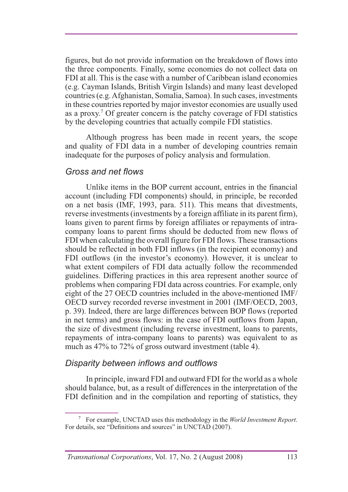figures, but do not provide information on the breakdown of flows into the three components. Finally, some economies do not collect data on FDI at all. This is the case with a number of Caribbean island economies (e.g. Cayman Islands, British Virgin Islands) and many least developed countries (e.g. Afghanistan, Somalia, Samoa). In such cases, investments in these countries reported by major investor economies are usually used as a proxy. 7 Of greater concern is the patchy coverage of FDI statistics by the developing countries that actually compile FDI statistics.

Although progress has been made in recent years, the scope and quality of FDI data in a number of developing countries remain inadequate for the purposes of policy analysis and formulation.

#### *Gross and net flows*

Unlike items in the BOP current account, entries in the financial account (including FDI components) should, in principle, be recorded on a net basis (IMF, 1993, para. 511). This means that divestments, reverse investments (investments by a foreign affiliate in its parent firm), loans given to parent firms by foreign affiliates or repayments of intracompany loans to parent firms should be deducted from new flows of FDI when calculating the overall figure for FDI flows. These transactions should be reflected in both FDI inflows (in the recipient economy) and FDI outflows (in the investor's economy). However, it is unclear to what extent compilers of FDI data actually follow the recommended guidelines. Differing practices in this area represent another source of problems when comparing FDI data across countries. For example, only eight of the  $27$  OECD countries included in the above-mentioned IMF/ OECD survey recorded reverse investment in 2001 (IMF/OECD, 2003, p. 39). Indeed, there are large differences between BOP flows (reported in net terms) and gross flows: in the case of FDI outflows from Japan, the size of divestment (including reverse investment, loans to parents, repayments of intra-company loans to parents) was equivalent to as much as  $47\%$  to 72% of gross outward investment (table 4).

#### *Disparity between inflows and outflows*

In principle, inward FDI and outward FDI for the world as a whole should balance, but, as a result of differences in the interpretation of the FDI definition and in the compilation and reporting of statistics, they

<sup>7</sup> For example, UNCTAD uses this methodology in the *World Investment Report*. For details, see "Definitions and sources" in UNCTAD (2007).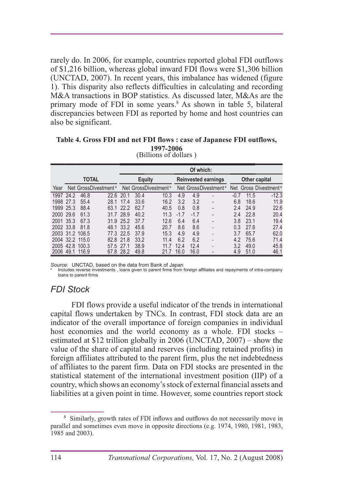rarely do. In 2006, for example, countries reported global FDI outflows of \$1.216 billion, whereas global inward FDI flows were \$1.306 billion (UNCTAD, 2007). In recent years, this imbalance has widened (figure 1). This disparity also reflects difficulties in calculating and recording M&A transactions in BOP statistics. As discussed later, M&As are the primary mode of FDI in some years.<sup>8</sup> As shown in table 5, bilateral discrepancies between FDI as reported by home and host countries can also be significant.

#### **Table 4. Gross FDI and net FDI flows : case of Japanese FDI outflows, 1997-2006** (Billions of dollars )

|           |              |            |                                  |           | Of which:     |                                  |        |        |                                  |        |      |                                   |  |  |
|-----------|--------------|------------|----------------------------------|-----------|---------------|----------------------------------|--------|--------|----------------------------------|--------|------|-----------------------------------|--|--|
|           | <b>TOTAL</b> |            |                                  |           | <b>Equity</b> |                                  |        |        | <b>Reinvested earnings</b>       |        |      | <b>Other capital</b>              |  |  |
| Year      |              |            | Net GrossDivestment <sup>a</sup> |           |               | Net GrossDivestment <sup>a</sup> |        |        | Net GrossDivestment <sup>a</sup> |        |      | Net Gross Divestment <sup>a</sup> |  |  |
| 1997      | 24.2         | 46.8       | 22.6                             | 20.1      | 30.4          | 10.3                             | 4.9    | 4.9    |                                  | $-0.7$ | 11.5 | $-12.3$                           |  |  |
| 1998      | 27.3         | 55.4       | 28.1                             | 17.4      | 33.6          | 16.2                             | 3.2    | 3.2    | $\overline{\phantom{0}}$         | 6.8    | 18.6 | 11.9                              |  |  |
| 1999      | 25.3         | 88.4       | 63.1                             | 222       | 62.7          | 40.5                             | 0.8    | 0.8    | -                                | 2.4    | 24.9 | 22.6                              |  |  |
| 2000 29.6 |              | 61.3       | 31.7                             | 28.9      | 40.2          | 11.3                             | $-1.7$ | $-1.7$ |                                  | 2.4    | 22.8 | 20.4                              |  |  |
| 2001 35.3 |              | 67.3       | 31.9                             | 25.2      | 37.7          | 12.6                             | 6.4    | 6.4    |                                  | 3.8    | 23.1 | 19.4                              |  |  |
| 2002 33.8 |              | 81.8       |                                  | 48.1 33.2 | 45.6          | 20.7                             | 8.6    | 8.6    | -                                | 0.3    | 27.6 | 27.4                              |  |  |
| 2003      |              | 31.2 108.5 | 77.3                             | 22.5      | 37.9          | 15.3                             | 4.9    | 4.9    | -                                | 3.7    | 65.7 | 62.0                              |  |  |
| 2004      | 32.2         | 115.0      | 82.8                             | 21.8      | 33.2          | 11.4                             | 6.2    | 6.2    | ۰                                | 4.2    | 75.6 | 71.4                              |  |  |
| 2005      | 42.8         | 100.3      | 57.5                             | 27.1      | 38.9          |                                  | 12.4   | 12.4   |                                  | 3.2    | 49.0 | 45.8                              |  |  |
| 2006      | 49.1         | 116.9      | 67.8                             | 28.2      | 49.8          |                                  | 16.0   | 16.0   |                                  | 4.9    | 51.0 | 46.1                              |  |  |

Source: UNCTAD, based on the data from Bank of Japan<br>a lncludes reverse investments, loans given to parent firms from foreign affiliates and repayments of intra-company loans to parent firms

### *FDI Stock*

FDI flows provide a useful indicator of the trends in international capital flows undertaken by TNCs. In contrast, FDI stock data are an indicator of the overall importance of foreign companies in individual host economies and the world economy as a whole. FDI stocks – estimated at \$12 trillion globally in 2006 (UNCTAD,  $2007$ ) – show the value of the share of capital and reserves (including retained profits) in foreign affiliates attributed to the parent firm, plus the net indebtedness of affiliates to the parent firm. Data on FDI stocks are presented in the statistical statement of the international investment position (IIP) of a country, which shows an economy's stock of external financial assets and liabilities at a given point in time. However, some countries report stock

<sup>&</sup>lt;sup>8</sup> Similarly, growth rates of FDI inflows and outflows do not necessarily move in parallel and sometimes even move in opposite directions (e.g.  $1974$ ,  $1980$ ,  $1981$ ,  $1983$ , 1985 and  $2003$ ).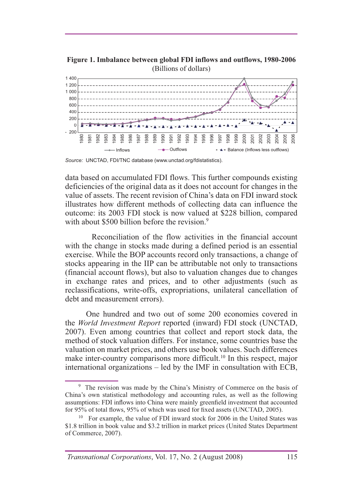

**Figure 1. Imbalance between global FDI inflows and outflows, 1980-2006** (Billions of dollars)

*Source:* UNCTAD, FDI/TNC database (www.unctad.org/fdistatistics).

data based on accumulated FDI flows. This further compounds existing deficiencies of the original data as it does not account for changes in the value of assets. The recent revision of China's data on FDI inward stock illustrates how different methods of collecting data can influence the outcome: its 2003 FDI stock is now valued at \$228 billion, compared with about \$500 billion before the revision. $9$ 

Reconciliation of the flow activities in the financial account with the change in stocks made during a defined period is an essential exercise. While the BOP accounts record only transactions, a change of stocks appearing in the IIP can be attributable not only to transactions (financial account flows), but also to valuation changes due to changes in exchange rates and prices, and to other adjustments (such as reclassifications, write-offs, expropriations, unilateral cancellation of debt and measurement errors).

One hundred and two out of some 200 economies covered in the *World Investment Report* reported (inward) FDI stock (UNCTAD, (2007). Even among countries that collect and report stock data, the method of stock valuation differs. For instance, some countries base the valuation on market prices, and others use book values. Such differences make inter-country comparisons more difficult.<sup>10</sup> In this respect, major international organizations  $-$  led by the IMF in consultation with ECB,

<sup>&</sup>lt;sup>9</sup> The revision was made by the China's Ministry of Commerce on the basis of China's own statistical methodology and accounting rules, as well as the following assumptions: FDI inflows into China were mainly greenfield investment that accounted for  $95\%$  of total flows,  $95\%$  of which was used for fixed assets (UNCTAD, 2005).

<sup>&</sup>lt;sup>10</sup> For example, the value of FDI inward stock for 2006 in the United States was \$1.8 trillion in book value and \$3.2 trillion in market prices (United States Department) of Commerce, 2007).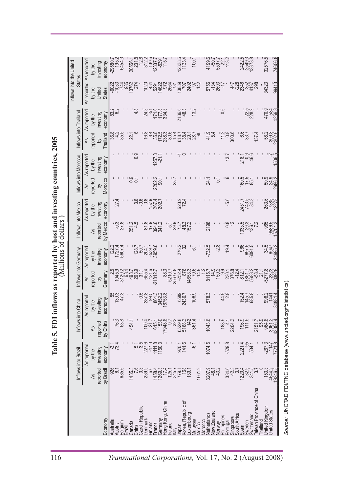| م د                                                            |
|----------------------------------------------------------------|
|                                                                |
| ble 5. FDI inflows as reported by host and investing countries |
| 25                                                             |
| $\frac{1}{2}$                                                  |
|                                                                |
|                                                                |

|                                                           |                                          | investing<br>economy<br>by the                               | 6454.3<br>195.2<br>$-29580.$              | 20556.1<br>231.8                         | $723077\n733077\n723377\n15.7$                                |                                                 | 12338.6<br>1133.4                                   | 100.1               | 4199.5<br>- 507.7<br>5597.7<br>5597.13.2                             |                                                      | 2422.5<br>-2549.3<br>13378.8                              | 74656.8<br>32576.5                                       |
|-----------------------------------------------------------|------------------------------------------|--------------------------------------------------------------|-------------------------------------------|------------------------------------------|---------------------------------------------------------------|-------------------------------------------------|-----------------------------------------------------|---------------------|----------------------------------------------------------------------|------------------------------------------------------|-----------------------------------------------------------|----------------------------------------------------------|
|                                                           | Inflows into the United<br><b>States</b> | As reported As reported<br><b>States</b><br>United<br>by the | -6023<br>-1033                            | 1982<br>1982<br>1982                     | 13922<br>1395<br>14922<br>102(                                | 91.                                             | 3889<br>256's<br>70ī                                | 2402<br>07<br>142   | 5756<br>78337<br>2877                                                | 447<br>228                                           | 1922<br>1925<br>1937<br>1938                              | 99413<br>34323                                           |
|                                                           |                                          | As reported<br>investing<br>economy<br>by the                | 83.2                                      | $\frac{8}{4}$                            | $\frac{3}{24}$<br>-51                                         | 177.334.3                                       | 2136.3<br>48.3                                      | $13.\overline{2}$   |                                                                      |                                                      | 3289<br>228                                               | 470.9<br>584<br>4256.3                                   |
|                                                           | Inflows into Thailand                    | Thailand<br>reported<br>As<br>$\geq$                         | 8248<br>848                               | 22.                                      | ⊈∞                                                            |                                                 |                                                     |                     | 41.5<br>5.                                                           | $\frac{8}{300.6}$<br>11.2                            | 137.4<br>$rac{6}{33}$                                     | 582.6<br>592.6<br>592.6                                  |
|                                                           |                                          | As reported<br>economy<br>investing<br>by the                |                                           | : တု<br>ö                                | 257.3<br>$-21$ .                                              |                                                 |                                                     |                     |                                                                      | $\frac{1}{2}$                                        | 218.96<br>2096<br>46.                                     | 506.5                                                    |
|                                                           | Inflows into Morocco                     | Morocco<br>reported<br>As<br>$\geq$                          |                                           | း<br>၁၀<br>၁၀                            | 2202.2                                                        |                                                 | 23.7                                                |                     | 24.1<br>$\sum$                                                       | : ယ                                                  | 3015<br>1976<br>198                                       | ಾಂ<br>ವಿನ್ನೊ<br>2686.2                                   |
|                                                           |                                          | As reported<br>economy<br>investing<br>by the                | 27.4                                      |                                          | שלה האלה<br>מספט אלה<br>אלה השלה                              |                                                 | 623.4<br>72.4                                       |                     |                                                                      | -5.6                                                 | 2451.7<br>743.3<br>84.3                                   | 263.6<br>7385<br>12278                                   |
|                                                           | Inflows into Mexico                      | by Mexico<br>reported<br><b>As</b>                           | -0.8<br>-0.8                              | 251.2                                    | $\frac{87.9}{17.9}$<br>394.6                                  |                                                 | nauda<br>Lairaid<br>Lairaid                         |                     | 2198                                                                 | $\frac{8}{0}$                                        | 133817<br>13887<br>1389                                   | 865<br>9885<br>57013<br>57013                            |
| Millions of dollars                                       |                                          | As reported<br>economy<br>investing<br>by the                | 122.4<br>127.4<br>3607.4                  | 128.7<br>50.7                            | 11178<br>2888<br>2998                                         |                                                 | 276.2                                               | $\overline{6}$      | $-732.5$<br>$-2.8$                                                   | 19.4                                                 | 966<br>097.5<br>0091.5                                    | 34.5<br>6047<br>24695.2                                  |
|                                                           | Inflows into Germany                     | Germany<br>reported<br>As<br>$\geq$                          | 525<br>04508883<br>04508889<br>04509      |                                          | 655.4<br>421.6<br>-21812.7                                    |                                                 | 883<br>5210.7<br>5252.4<br>5567.4<br>878<br>14653.3 | 79.6<br>$-14.9$     | 8115.7<br>14.9                                                       |                                                      |                                                           | -5277.8<br>392                                           |
| inflows as reported by host and investing countries, 2005 |                                          | As reported<br>economy<br>investing<br>by the                | 3814<br>285<br>287                        |                                          | 0.88333<br>0.8835<br>0.8835<br>0.893                          | 6753.8                                          | 6589<br>2436.7                                      | 106.9               | 578.3                                                                | : တ ထ<br>4v                                          | 152.7<br>145.7<br>685.8                                   | 998.2<br>1441<br>34881.4                                 |
| Table 5. FDI                                              | Inflows into China                       | by China<br>reported<br>A <sub>S</sub>                       | 76.8<br>763                               | 454.1                                    | $\frac{2717}{615.1}$<br>615.1<br>1530                         | $17948.8$<br>$9.7$<br>$322$                     | 6529.3                                              | 361.4               | 1043.6                                                               | 188.9<br>4.1<br>2204.3                               | 196.9<br>111.5                                            | 2151.7<br>954.8<br>9061.2                                |
|                                                           |                                          | As reported<br>investing<br>economy<br>by the                | -31<br>734                                |                                          | $277.7$<br>$277.7$<br>$277.7$<br>$277.7$<br>$29.3$<br>$277.7$ |                                                 | 970.1<br>141.6                                      | $\frac{1}{2}$       | 1074.5                                                               | $-529.8$                                             | 2221.4<br>534.1<br>534.1                                  | $-267.3$                                                 |
|                                                           | Inflows into Brazil                      | reported<br>by Brazi<br>4s                                   | 926<br>6.1<br>685.0                       | 1435.3                                   | ာ<br>၁၈၀၀<br>၁၈၀၀                                             |                                                 |                                                     | 1661.2              | 3207.9<br>48.1<br>43.2                                               | 3343.7<br>3343.7                                     | 12032<br>12031-0<br>12031-0                               | 153.3                                                    |
|                                                           |                                          | $E_{\text{con}}$                                             | Australia<br>Belgium<br>Brazil<br>Austria | <b>Czech Republic</b><br>Canada<br>China | <b>Denmark</b><br>Finland<br>France                           | Hong Kong, China<br>Ireland<br>Italy<br>Germany | Korea, Republic of<br>Luxembourg<br>Japan           | Nalaysia<br>Vlexico | <b>New Zealand</b><br><b>Jetherlands</b><br><b>Aorocco</b><br>Norway | Singapore<br>South Africa<br>Philippines<br>Portugal | aiwan Province of China<br>Switzerland<br>Sweden<br>Spain | Inited Kingdom<br>Inited States<br>hailand               |
| 116                                                       |                                          |                                                              |                                           |                                          |                                                               |                                                 |                                                     |                     |                                                                      |                                                      |                                                           | Transnational Corporations, Vol. 17, No. 2 (August 2008) |

*Source:* UN

CTAD FDI/TN

C database (www.unctad.org/fdistatistics).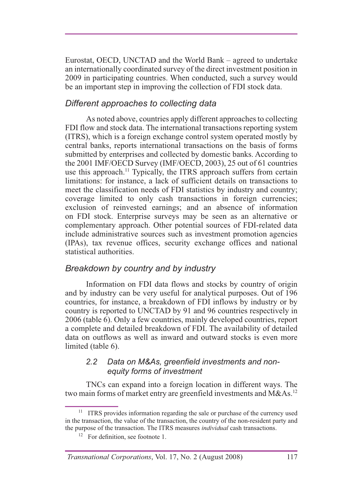Eurostat, OECD, UNCTAD and the World Bank – agreed to undertake an internationally coordinated survey of the direct investment position in 2009 in participating countries. When conducted, such a survey would be an important step in improving the collection of FDI stock data.

### *Different approaches to collecting data*

As noted above, countries apply different approaches to collecting FDI flow and stock data. The international transactions reporting system (ITRS), which is a foreign exchange control system operated mostly by central banks, reports international transactions on the basis of forms submitted by enterprises and collected by domestic banks. According to the  $2001$  IMF/OECD Survey (IMF/OECD,  $2003$ ),  $25$  out of 61 countries use this approach.<sup>11</sup> Typically, the ITRS approach suffers from certain limitations: for instance, a lack of sufficient details on transactions to meet the classification needs of FDI statistics by industry and country; coverage limited to only cash transactions in foreign currencies; exclusion of reinvested earnings; and an absence of information on FDI stock. Enterprise surveys may be seen as an alternative or complementary approach. Other potential sources of FDI-related data include administrative sources such as investment promotion agencies (IPAs), tax revenue offices, security exchange offices and national statistical authorities.

### *Breakdown by country and by industry*

Information on FDI data flows and stocks by country of origin and by industry can be very useful for analytical purposes. Out of  $196$ countries, for instance, a breakdown of FDI inflows by industry or by country is reported to UNCTAD by 91 and 96 countries respectively in 2006 (table 6). Only a few countries, mainly developed countries, report a complete and detailed breakdown of FDI. The availability of detailed data on outflows as well as inward and outward stocks is even more limited (table 6).

#### *2.2 Data on M&As, greenfield investments and nonequity forms of investment*

TNCs can expand into a foreign location in different ways. The two main forms of market entry are greenfield investments and  $M\&As.<sup>12</sup>$ 

 $11$  ITRS provides information regarding the sale or purchase of the currency used in the transaction, the value of the transaction, the country of the non-resident party and the purpose of the transaction. The ITRS measures *individual* cash transactions.

<sup>&</sup>lt;sup>12</sup> For definition, see footnote 1.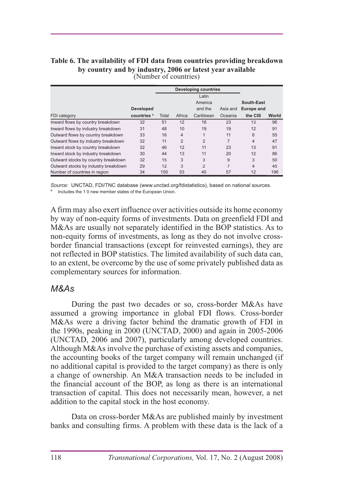#### **Table 6. The availability of FDI data from countries providing breakdown by country and by industry, 2006 or latest year available** (Number of countries)

|                                      |                        |       | <b>Developing countries</b> |                |          |                   |       |
|--------------------------------------|------------------------|-------|-----------------------------|----------------|----------|-------------------|-------|
|                                      |                        | Latin |                             |                |          |                   |       |
|                                      |                        |       |                             | America        |          | South-East        |       |
|                                      | <b>Developed</b>       |       |                             | and the        | Asia and | <b>Europe and</b> |       |
| FDI category                         | countries <sup>a</sup> | Total | Africa                      | Caribbean      | Oceania  | the CIS           | World |
| Inward flows by country breakdown    | 32                     | 51    | 12                          | 16             | 23       | 13                | 96    |
| Inward flows by industry breakdown   | 31                     | 48    | 10                          | 19             | 19       | 12                | 91    |
| Outward flows by country breakdown   | 33                     | 16    | 4                           | 1              | 11       | 6                 | 55    |
| Outward flows by industry breakdown  | 32                     | 11    | $\overline{2}$              | $\overline{2}$ | 7        | $\overline{4}$    | 47    |
| Inward stock by country breakdown    | 32                     | 46    | 12                          | 11             | 23       | 13                | 91    |
| Inward stock by industry breakdown   | 30                     | 44    | 13                          | 11             | 20       | 12                | 86    |
| Outward stocks by country breakdown  | 32                     | 15    | 3                           | 3              | 9        | 3                 | 50    |
| Outward stocks by industry breakdown | 29                     | 12    | 3                           | $\overline{2}$ | 7        | 4                 | 45    |
| Number of countries in region        | 34                     | 150   | 53                          | 40             | 57       | $12 \overline{ }$ | 196   |

*Source:* UNCTAD, FDI/TNC database (www.unctad.org/fdistatistics), based on national sources. a Includes the 1 0 new member states of the European Union.

A firm may also exert influence over activities outside its home economy by way of non-equity forms of investments. Data on greenfield FDI and M&As are usually not separately identified in the BOP statistics. As to non-equity forms of investments, as long as they do not involve crossborder financial transactions (except for reinvested earnings), they are not reflected in BOP statistics. The limited availability of such data can, to an extent, be overcome by the use of some privately published data as complementary sources for information.

#### *M&As*

During the past two decades or so, cross-border M&As have assumed a growing importance in global FDI flows. Cross-border M&As were a driving factor behind the dramatic growth of FDI in the 1990s, peaking in  $2000$  (UNCTAD,  $2000$ ) and again in  $2005-2006$ (UNCTAD, 2006 and 2007), particularly among developed countries. Although M&As involve the purchase of existing assets and companies. the accounting books of the target company will remain unchanged (if no additional capital is provided to the target company) as there is only a change of ownership. An M&A transaction needs to be included in the financial account of the BOP, as long as there is an international transaction of capital. This does not necessarily mean, however, a net addition to the capital stock in the host economy.

Data on cross-border M&As are published mainly by investment banks and consulting firms. A problem with these data is the lack of a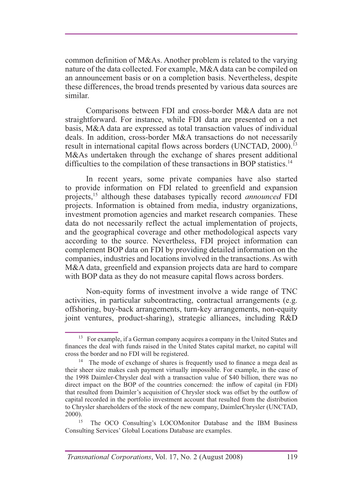common definition of M&As. Another problem is related to the varying nature of the data collected. For example, M&A data can be compiled on an announcement basis or on a completion basis. Nevertheless, despite these differences, the broad trends presented by various data sources are similar.

Comparisons between FDI and cross-border M&A data are not straightforward. For instance, while FDI data are presented on a net basis, M&A data are expressed as total transaction values of individual deals. In addition, cross-border M&A transactions do not necessarily result in international capital flows across borders (UNCTAD, 2000).<sup>13</sup> M&As undertaken through the exchange of shares present additional difficulties to the compilation of these transactions in BOP statistics.<sup>14</sup>

In recent years, some private companies have also started to provide information on FDI related to greenfield and expansion projects,<sup>15</sup> although these databases typically record *announced* FDI projects. Information is obtained from media, industry organizations, investment promotion agencies and market research companies. These data do not necessarily reflect the actual implementation of projects, and the geographical coverage and other methodological aspects vary according to the source. Nevertheless, FDI project information can complement BOP data on FDI by providing detailed information on the companies, industries and locations involved in the transactions. As with M&A data, greenfield and expansion projects data are hard to compare with BOP data as they do not measure capital flows across borders.

Non-equity forms of investment involve a wide range of TNC activities, in particular subcontracting, contractual arrangements (e.g. offshoring, buy-back arrangements, turn-key arrangements, non-equity joint ventures, product-sharing), strategic alliances, including R&D

<sup>&</sup>lt;sup>13</sup> For example, if a German company acquires a company in the United States and finances the deal with funds raised in the United States capital market, no capital will cross the border and no FDI will be registered.

<sup>&</sup>lt;sup>14</sup> The mode of exchange of shares is frequently used to finance a mega deal as their sheer size makes cash payment virtually impossible. For example, in the case of the 1998 Daimler-Chrysler deal with a transaction value of \$40 billion, there was no direct impact on the BOP of the countries concerned: the inflow of capital (in FDI) that resulted from Daimler's acquisition of Chrysler stock was offset by the outflow of capital recorded in the portfolio investment account that resulted from the distribution to Chrysler shareholders of the stock of the new company, DaimlerChrysler (UNCTAD, 2000).

<sup>&</sup>lt;sup>15</sup> The OCO Consulting's LOCOMonitor Database and the IBM Business Consulting Services' Global Locations Database are examples.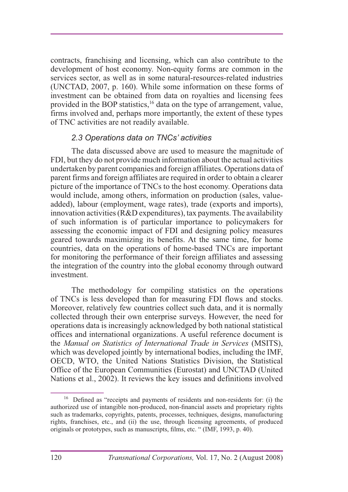contracts, franchising and licensing, which can also contribute to the development of host economy. Non-equity forms are common in the services sector, as well as in some natural-resources-related industries (UNCTAD, 2007, p. 160). While some information on these forms of investment can be obtained from data on royalties and licensing fees provided in the BOP statistics,<sup>16</sup> data on the type of arrangement, value, firms involved and, perhaps more importantly, the extent of these types of TNC activities are not readily available.

#### *2.3 Operations data on TNCs' activities*

The data discussed above are used to measure the magnitude of FDI, but they do not provide much information about the actual activities undertaken by parent companies and foreign affiliates. Operations data of parent firms and foreign affiliates are required in order to obtain a clearer picture of the importance of TNCs to the host economy. Operations data would include, among others, information on production (sales, valueadded), labour (employment, wage rates), trade (exports and imports), innovation activities (R&D expenditures), tax payments. The availability of such information is of particular importance to policymakers for assessing the economic impact of FDI and designing policy measures geared towards maximizing its benefits. At the same time, for home countries, data on the operations of home-based TNCs are important for monitoring the performance of their foreign affiliates and assessing the integration of the country into the global economy through outward investment.

The methodology for compiling statistics on the operations of TNCs is less developed than for measuring FDI flows and stocks. Moreover, relatively few countries collect such data, and it is normally collected through their own enterprise surveys. However, the need for operations data is increasingly acknowledged by both national statistical offices and international organizations. A useful reference document is the *Manual on Statistics of International Trade in Services* (MSITS), which was developed jointly by international bodies, including the IMF, OECD, WTO, the United Nations Statistics Division, the Statistical Office of the European Communities (Eurostat) and UNCTAD (United Nations et al., 2002). It reviews the key issues and definitions involved

 $^{16}$  Defined as "receipts and payments of residents and non-residents for: (i) the authorized use of intangible non-produced, non-financial assets and proprietary rights such as trademarks, copyrights, patents, processes, techniques, designs, manufacturing rights, franchises, etc., and (ii) the use, through licensing agreements, of produced originals or prototypes, such as manuscripts, films, etc. " (IMF, 1993, p. 40).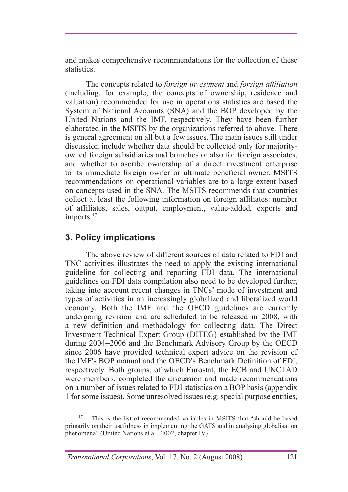and makes comprehensive recommendations for the collection of these statistics.

The concepts related to *foreign investment* and *foreign affiliation* (including, for example, the concepts of ownership, residence and valuation) recommended for use in operations statistics are based the System of National Accounts (SNA) and the BOP developed by the United Nations and the IMF, respectively. They have been further elaborated in the MSITS by the organizations referred to above. There is general agreement on all but a few issues. The main issues still under discussion include whether data should be collected only for majorityowned foreign subsidiaries and branches or also for foreign associates, and whether to ascribe ownership of a direct investment enterprise to its immediate foreign owner or ultimate beneficial owner. MSITS recommendations on operational variables are to a large extent based on concepts used in the SNA. The MSITS recommends that countries collect at least the following information on foreign affiliates: number of affiliates, sales, output, employment, value-added, exports and imports.<sup>17</sup>

## **3. Policy implications**

The above review of different sources of data related to FDI and TNC activities illustrates the need to apply the existing international guideline for collecting and reporting FDI data. The international guidelines on FDI data compilation also need to be developed further, taking into account recent changes in TNCs' mode of investment and types of activities in an increasingly globalized and liberalized world economy. Both the IMF and the OECD guidelines are currently undergoing revision and are scheduled to be released in 2008, with a new definition and methodology for collecting data. The Direct Investment Technical Expert Group (DITEG) established by the IMF during  $2004-2006$  and the Benchmark Advisory Group by the OECD since 2006 have provided technical expert advice on the revision of the IMF's BOP manual and the OECD's Benchmark Definition of FDI, respectively. Both groups, of which Eurostat, the ECB and UNCTAD were members, completed the discussion and made recommendations on a number of issues related to FDI statistics on a BOP basis (appendix 1 for some issues). Some unresolved issues (e.g. special purpose entities,

This is the list of recommended variables in MSITS that "should be based primarily on their usefulness in implementing the GATS and in analysing globalisation phenomena" (United Nations et al., 2002, chapter IV).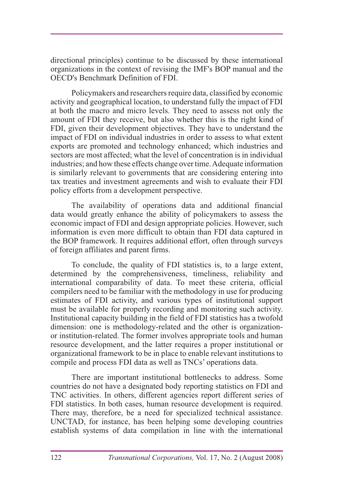directional principles) continue to be discussed by these international organizations in the context of revising the IMF's BOP manual and the OECD's Benchmark Definition of FDI.

Policymakers and researchers require data, classified by economic activity and geographical location, to understand fully the impact of FDI at both the macro and micro levels. They need to assess not only the amount of FDI they receive, but also whether this is the right kind of FDI, given their development objectives. They have to understand the impact of FDI on individual industries in order to assess to what extent exports are promoted and technology enhanced; which industries and sectors are most affected; what the level of concentration is in individual industries; and how these effects change over time. Adequate information is similarly relevant to governments that are considering entering into tax treaties and investment agreements and wish to evaluate their FDI policy efforts from a development perspective.

The availability of operations data and additional financial data would greatly enhance the ability of policymakers to assess the economic impact of FDI and design appropriate policies. However, such information is even more difficult to obtain than FDI data captured in the BOP framework. It requires additional effort, often through surveys of foreign affiliates and parent firms.

To conclude, the quality of FDI statistics is, to a large extent, determined by the comprehensiveness, timeliness, reliability and international comparability of data. To meet these criteria, official compilers need to be familiar with the methodology in use for producing estimates of FDI activity, and various types of institutional support must be available for properly recording and monitoring such activity. Institutional capacity building in the field of FDI statistics has a twofold dimension: one is methodology-related and the other is organizationor institution-related. The former involves appropriate tools and human resource development, and the latter requires a proper institutional or organizational framework to be in place to enable relevant institutions to compile and process FDI data as well as TNCs' operations data.

There are important institutional bottlenecks to address. Some countries do not have a designated body reporting statistics on FDI and TNC activities. In others, different agencies report different series of FDI statistics. In both cases, human resource development is required. There may, therefore, be a need for specialized technical assistance. UNCTAD, for instance, has been helping some developing countries establish systems of data compilation in line with the international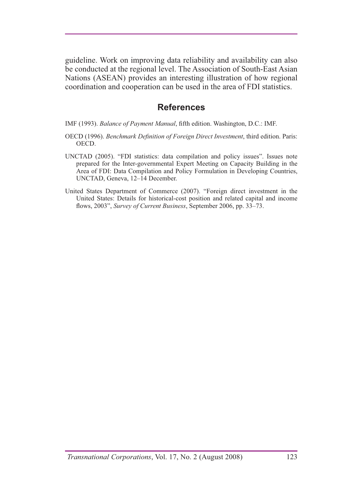guideline. Work on improving data reliability and availability can also be conducted at the regional level. The Association of South-East Asian Nations (ASEAN) provides an interesting illustration of how regional coordination and cooperation can be used in the area of FDI statistics.

#### **References**

IMF (1993). *Balance of Payment Manual*, fifth edition. Washington, D.C.: IMF.

- OECD (1996). *Benchmark Definition of Foreign Direct Investment*, third edition. Paris: OECD.
- UNCTAD (2005). "FDI statistics: data compilation and policy issues". Issues note prepared for the Inter-governmental Expert Meeting on Capacity Building in the Area of FDI: Data Compilation and Policy Formulation in Developing Countries, UNCTAD, Geneva, 12-14 December.
- United States Department of Commerce (2007). "Foreign direct investment in the United States: Details for historical-cost position and related capital and income flows, 2003", Survey of Current Business, September 2006, pp. 33–73.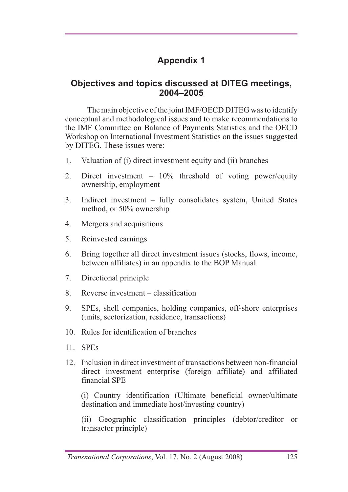# **Appendix 1**

### **Objectives and topics discussed at DITEG meetings, 2004–2005**

The main objective of the joint IMF/OECD DITEG was to identify conceptual and methodological issues and to make recommendations to the IMF Committee on Balance of Payments Statistics and the OECD Workshop on International Investment Statistics on the issues suggested by DITEG. These issues were:

- 1. Valuation of (i) direct investment equity and (ii) branches
- 2. Direct investment  $-10\%$  threshold of voting power/equity ownership, employment
- 3. Indirect investment fully consolidates system, United States method, or  $50\%$  ownership
- 4. Mergers and acquisitions
- 5. Reinvested earnings
- 6. Bring together all direct investment issues (stocks, flows, income, between affiliates) in an appendix to the BOP Manual.
- 7. Directional principle
- 8. Reverse investment  $-$  classification
- 9. SPEs, shell companies, holding companies, off-shore enterprises (units, sectorization, residence, transactions)
- 10. Rules for identification of branches
- $11$  SPEs
- 12. Inclusion in direct investment of transactions between non-financial direct investment enterprise (foreign affiliate) and affiliated financial SPE

 (i) Country identification (Ultimate beneficial owner/ultimate destination and immediate host/investing country)

(ii) Geographic classification principles (debtor/creditor or transactor principle)